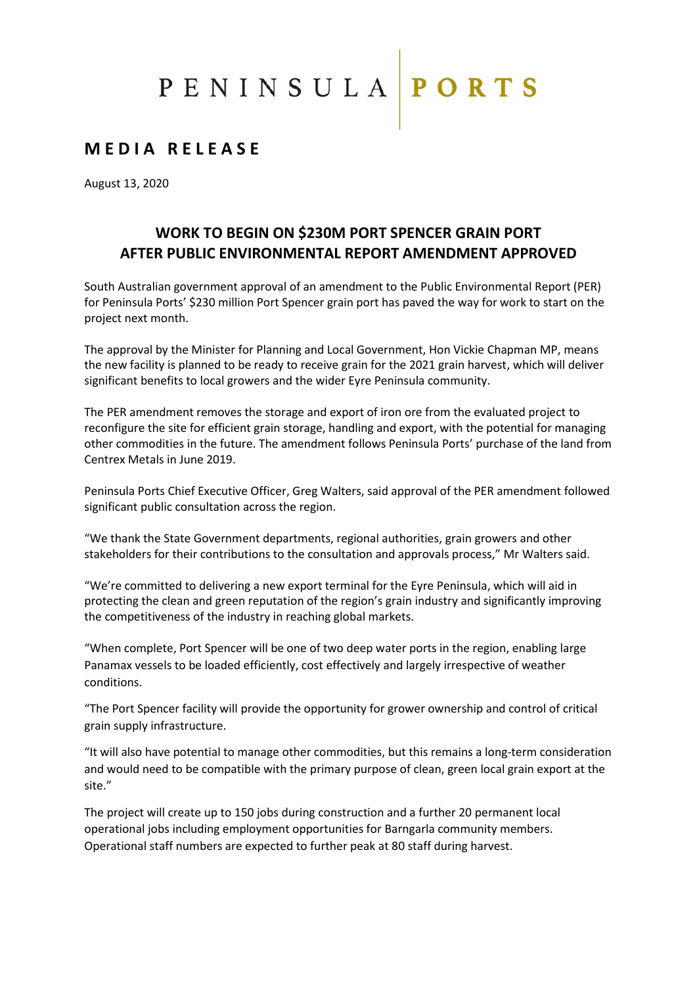## PENINSULA PORTS

### **M E D I A R E L E A S E**

August 13, 2020

#### **WORK TO BEGIN ON \$230M PORT SPENCER GRAIN PORT AFTER PUBLIC ENVIRONMENTAL REPORT AMENDMENT APPROVED**

South Australian government approval of an amendment to the Public Environmental Report (PER) for Peninsula Ports' \$230 million Port Spencer grain port has paved the way for work to start on the project next month.

The approval by the Minister for Planning and Local Government, Hon Vickie Chapman MP, means the new facility is planned to be ready to receive grain for the 2021 grain harvest, which will deliver significant benefits to local growers and the wider Eyre Peninsula community.

The PER amendment removes the storage and export of iron ore from the evaluated project to reconfigure the site for efficient grain storage, handling and export, with the potential for managing other commodities in the future. The amendment follows Peninsula Ports' purchase of the land from Centrex Metals in June 2019.

Peninsula Ports Chief Executive Officer, Greg Walters, said approval of the PER amendment followed significant public consultation across the region.

"We thank the State Government departments, regional authorities, grain growers and other stakeholders for their contributions to the consultation and approvals process," Mr Walters said.

"We're committed to delivering a new export terminal for the Eyre Peninsula, which will aid in protecting the clean and green reputation of the region's grain industry and significantly improving the competitiveness of the industry in reaching global markets.

"When complete, Port Spencer will be one of two deep water ports in the region, enabling large Panamax vessels to be loaded efficiently, cost effectively and largely irrespective of weather conditions.

"The Port Spencer facility will provide the opportunity for grower ownership and control of critical grain supply infrastructure.

"It will also have potential to manage other commodities, but this remains a long-term consideration and would need to be compatible with the primary purpose of clean, green local grain export at the site."

The project will create up to 150 jobs during construction and a further 20 permanent local operational jobs including employment opportunities for Barngarla community members. Operational staff numbers are expected to further peak at 80 staff during harvest.